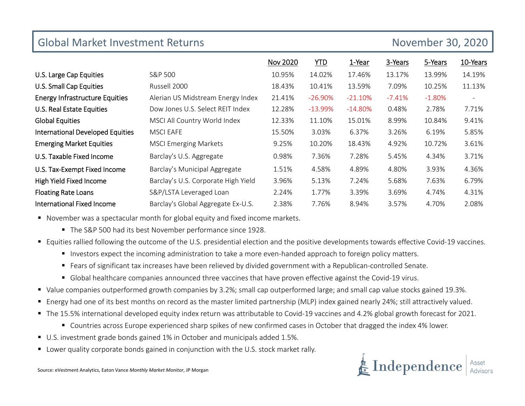| <b>Global Market Investment Returns</b> |                                     |                 | November 30, 2020 |           |          |          |                          |
|-----------------------------------------|-------------------------------------|-----------------|-------------------|-----------|----------|----------|--------------------------|
|                                         |                                     | <b>Nov 2020</b> | <b>YTD</b>        | 1-Year    | 3-Years  | 5-Years  | 10-Years                 |
| U.S. Large Cap Equities                 | S&P 500                             | 10.95%          | 14.02%            | 17.46%    | 13.17%   | 13.99%   | 14.19%                   |
| U.S. Small Cap Equities                 | Russell 2000                        | 18.43%          | 10.41%            | 13.59%    | 7.09%    | 10.25%   | 11.13%                   |
| <b>Energy Infrastructure Equities</b>   | Alerian US Midstream Energy Index   | 21.41%          | $-26.90%$         | $-21.10%$ | $-7.41%$ | $-1.80%$ | $\overline{\phantom{a}}$ |
| U.S. Real Estate Equities               | Dow Jones U.S. Select REIT Index    | 12.28%          | $-13.99%$         | $-14.80%$ | 0.48%    | 2.78%    | 7.71%                    |
| <b>Global Equities</b>                  | MSCI All Country World Index        | 12.33%          | 11.10%            | 15.01%    | 8.99%    | 10.84%   | 9.41%                    |
| <b>International Developed Equities</b> | <b>MSCI EAFE</b>                    | 15.50%          | 3.03%             | 6.37%     | 3.26%    | 6.19%    | 5.85%                    |
| <b>Emerging Market Equities</b>         | <b>MSCI Emerging Markets</b>        | 9.25%           | 10.20%            | 18.43%    | 4.92%    | 10.72%   | 3.61%                    |
| U.S. Taxable Fixed Income               | Barclay's U.S. Aggregate            | 0.98%           | 7.36%             | 7.28%     | 5.45%    | 4.34%    | 3.71%                    |
| U.S. Tax-Exempt Fixed Income            | Barclay's Municipal Aggregate       | 1.51%           | 4.58%             | 4.89%     | 4.80%    | 3.93%    | 4.36%                    |
| High Yield Fixed Income                 | Barclay's U.S. Corporate High Yield | 3.96%           | 5.13%             | 7.24%     | 5.68%    | 7.63%    | 6.79%                    |
| <b>Floating Rate Loans</b>              | S&P/LSTA Leveraged Loan             | 2.24%           | 1.77%             | 3.39%     | 3.69%    | 4.74%    | 4.31%                    |
| <b>International Fixed Income</b>       | Barclay's Global Aggregate Ex-U.S.  | 2.38%           | 7.76%             | 8.94%     | 3.57%    | 4.70%    | 2.08%                    |

■ November was a spectacular month for global equity and fixed income markets.

- The S&P 500 had its best November performance since 1928.
- Equities rallied following the outcome of the U.S. presidential election and the positive developments towards effective Covid-19 vaccines.
	- Investors expect the incoming administration to take a more even-handed approach to foreign policy matters.
	- Fears of significant tax increases have been relieved by divided government with a Republican-controlled Senate.
	- Global healthcare companies announced three vaccines that have proven effective against the Covid-19 virus.
- Value companies outperformed growth companies by 3.2%; small cap outperformed large; and small cap value stocks gained 19.3%.
- Energy had one of its best months on record as the master limited partnership (MLP) index gained nearly 24%; still attractively valued.
- The 15.5% international developed equity index return was attributable to Covid-19 vaccines and 4.2% global growth forecast for 2021.
	- Countries across Europe experienced sharp spikes of new confirmed cases in October that dragged the index 4% lower.
- U.S. investment grade bonds gained 1% in October and municipals added 1.5%.
- Lower quality corporate bonds gained in conjunction with the U.S. stock market rally.

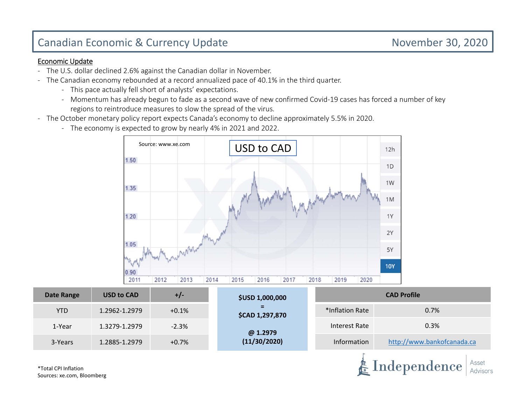# Canadian Economic & Currency Update November 30, 2020

E Independence

Asset

### Economic Update

- ‐ The U.S. dollar declined 2.6% against the Canadian dollar in November.
- $\blacksquare$  The Canadian economy rebounded at a record annualized pace of 40.1% in the third quarter.
	- ‐ This pace actually fell short of analysts' expectations.
	- ‐ Momentum has already begun to fade as a second wave of new confirmed Covid‐19 cases has forced a number of key regions to reintroduce measures to slow the spread of the virus.
- ‐ The October monetary policy report expects Canada's economy to decline approximately 5.5% in 2020.
	- ‐ The economy is expected to grow by nearly 4% in 2021 and 2022.



| Date Range | <b>USD to CAD</b> | +/-     | <b>\$USD 1,000,000</b>        | <b>CAD Profile</b> |                            |  |  |
|------------|-------------------|---------|-------------------------------|--------------------|----------------------------|--|--|
| <b>YTD</b> | 1.2962-1.2979     | $+0.1%$ | $=$<br><b>\$CAD 1,297,870</b> | *Inflation Rate    | 0.7%                       |  |  |
| 1-Year     | 1.3279-1.2979     | $-2.3%$ | @ 1.2979                      | Interest Rate      | 0.3%                       |  |  |
| 3-Years    | 1.2885-1.2979     | $+0.7%$ | (11/30/2020)                  | Information        | http://www.bankofcanada.ca |  |  |

\*Total CPI InflationSources: xe.com, Bloomberg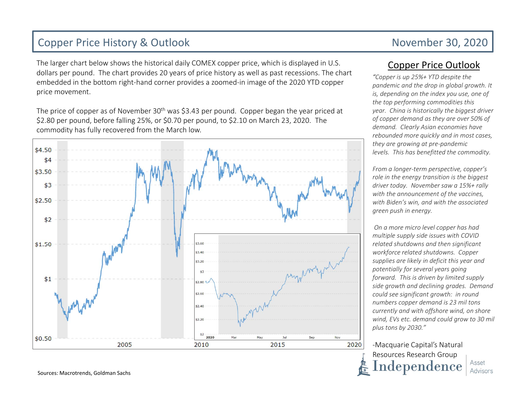## Copper Price History & Outlook November 30, 2020

The larger chart below shows the historical daily COMEX copper price, which is displayed in U.S. dollars per pound. The chart provides 20 years of price history as well as past recessions. The chart embedded in the bottom right‐hand corner provides a zoomed‐in image of the 2020 YTD copper price movement.

The price of copper as of November 30<sup>th</sup> was \$3.43 per pound. Copper began the year priced at \$2.80 per pound, before falling 25%, or \$0.70 per pound, to \$2.10 on March 23, 2020. The commodity has fully recovered from the March low.



## Copper Price Outlook

*"Copper is up 25%+ YTD despite the pandemic and the drop in global growth. It is, depending on the index you use, one of the top performing commodities this year. China is historically the biggest driver of copper demand as they are over 50% of demand. Clearly Asian economies have rebounded more quickly and in most cases, they are growing at pre‐pandemic levels. This has benefitted the commodity.*

*From a longer‐term perspective, copper's role in the energy transition is the biggest driver today. November saw a 15%+ rally with the announcement of the vaccines, with Biden's win, and with the associated green push in energy.*

*On a more micro level copper has had multiple supply side issues with COVID related shutdowns and then significant workforce related shutdowns. Copper supplies are likely in deficit this year and potentially for several years going forward. This is driven by limited supply side growth and declining grades. Demand could see significant growth: in round numbers copper demand is 23 mil tons currently and with offshore wind, on shore wind, EVs etc. demand could grow to 30 mil plus tons by 2030."*

‐Macquarie Capital's Natural Resources Research Group  $\bf Independence$ Asset Advisors

Sources: Macrotrends, Goldman Sachs